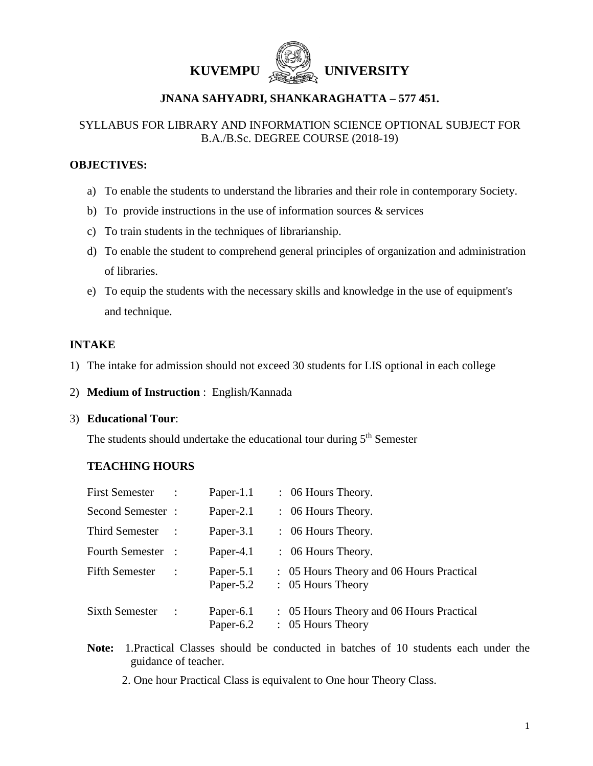



# **JNANA SAHYADRI, SHANKARAGHATTA – 577 451.**

# SYLLABUS FOR LIBRARY AND INFORMATION SCIENCE OPTIONAL SUBJECT FOR B.A./B.Sc. DEGREE COURSE (2018-19)

## **OBJECTIVES:**

- a) To enable the students to understand the libraries and their role in contemporary Society.
- b) To provide instructions in the use of information sources  $\&$  services
- c) To train students in the techniques of librarianship.
- d) To enable the student to comprehend general principles of organization and administration of libraries.
- e) To equip the students with the necessary skills and knowledge in the use of equipment's and technique.

# **INTAKE**

- 1) The intake for admission should not exceed 30 students for LIS optional in each college
- 2) **Medium of Instruction** : English/Kannada

#### 3) **Educational Tour**:

The students should undertake the educational tour during 5<sup>th</sup> Semester

# **TEACHING HOURS**

| <b>First Semester</b> | Paper-1.1              | $\therefore$ 06 Hours Theory.                                 |
|-----------------------|------------------------|---------------------------------------------------------------|
| Second Semester :     | Paper-2.1              | $\therefore$ 06 Hours Theory.                                 |
| Third Semester        | Paper-3.1              | $\therefore$ 06 Hours Theory.                                 |
| Fourth Semester :     | Paper-4.1              | $\therefore$ 06 Hours Theory.                                 |
| <b>Fifth Semester</b> | Paper-5.1<br>Paper-5.2 | : 05 Hours Theory and 06 Hours Practical<br>: 05 Hours Theory |
| Sixth Semester        | Paper-6.1<br>Paper-6.2 | : 05 Hours Theory and 06 Hours Practical<br>: 05 Hours Theory |

 **Note:** 1.Practical Classes should be conducted in batches of 10 students each under the guidance of teacher.

2. One hour Practical Class is equivalent to One hour Theory Class.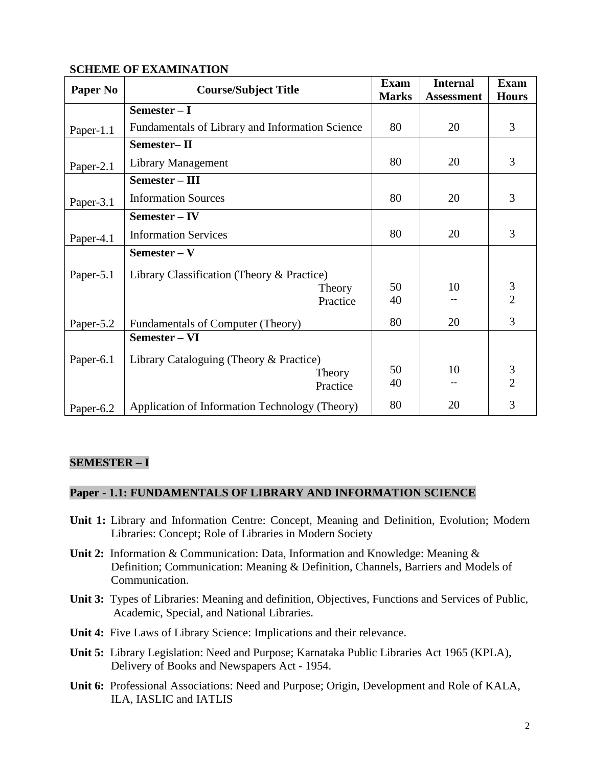## **SCHEME OF EXAMINATION**

| Paper No  | <b>Course/Subject Title</b>                     | <b>Exam</b><br><b>Marks</b> | <b>Internal</b><br><b>Assessment</b> | <b>Exam</b><br><b>Hours</b> |
|-----------|-------------------------------------------------|-----------------------------|--------------------------------------|-----------------------------|
|           | Semester - I                                    |                             |                                      |                             |
| Paper-1.1 | Fundamentals of Library and Information Science | 80                          | 20                                   | 3                           |
|           | Semester-II                                     |                             |                                      |                             |
| Paper-2.1 | Library Management                              | 80                          | 20                                   | 3                           |
|           | Semester - III                                  |                             |                                      |                             |
| Paper-3.1 | <b>Information Sources</b>                      | 80                          | 20                                   | 3                           |
|           | Semester – IV                                   |                             |                                      |                             |
| Paper-4.1 | <b>Information Services</b>                     | 80                          | 20                                   | 3                           |
|           | Semester – V                                    |                             |                                      |                             |
| Paper-5.1 | Library Classification (Theory & Practice)      |                             |                                      |                             |
|           | Theory                                          | 50                          | 10                                   | $\frac{3}{2}$               |
|           | Practice                                        | 40                          |                                      |                             |
| Paper-5.2 | Fundamentals of Computer (Theory)               | 80                          | 20                                   | 3                           |
|           | Semester - VI                                   |                             |                                      |                             |
| Paper-6.1 | Library Cataloguing (Theory & Practice)         |                             |                                      |                             |
|           | Theory                                          |                             | 10                                   | $\mathfrak{Z}$              |
|           | Practice                                        | 40                          |                                      | $\overline{2}$              |
| Paper-6.2 | Application of Information Technology (Theory)  | 80                          | 20                                   | 3                           |

# **SEMESTER – I**

## **Paper - 1.1: FUNDAMENTALS OF LIBRARY AND INFORMATION SCIENCE**

- **Unit 1:** Library and Information Centre: Concept, Meaning and Definition, Evolution; Modern Libraries: Concept; Role of Libraries in Modern Society
- **Unit 2:** Information & Communication: Data, Information and Knowledge: Meaning & Definition; Communication: Meaning & Definition, Channels, Barriers and Models of Communication.
- **Unit 3:** Types of Libraries: Meaning and definition, Objectives, Functions and Services of Public, Academic, Special, and National Libraries.
- **Unit 4:** Five Laws of Library Science: Implications and their relevance.
- **Unit 5:** Library Legislation: Need and Purpose; Karnataka Public Libraries Act 1965 (KPLA), Delivery of Books and Newspapers Act - 1954.
- **Unit 6:** Professional Associations: Need and Purpose; Origin, Development and Role of KALA, ILA, IASLIC and IATLIS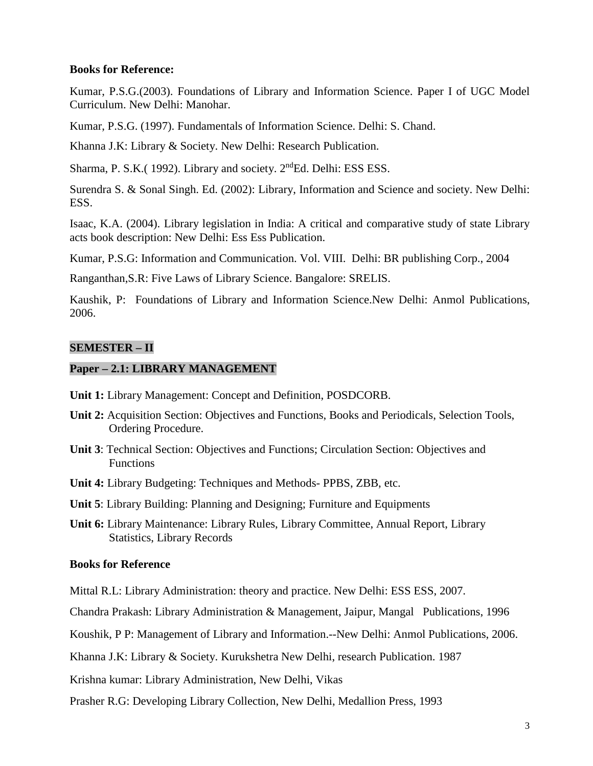#### **Books for Reference:**

Kumar, P.S.G.(2003). Foundations of Library and Information Science. Paper I of UGC Model Curriculum. New Delhi: Manohar.

Kumar, P.S.G. (1997). Fundamentals of Information Science. Delhi: S. Chand.

Khanna J.K: Library & Society. New Delhi: Research Publication.

Sharma, P. S.K. (1992). Library and society. 2<sup>nd</sup>Ed. Delhi: ESS ESS.

Surendra S. & Sonal Singh. Ed. (2002): Library, Information and Science and society. New Delhi: ESS.

Isaac, K.A. (2004). Library legislation in India: A critical and comparative study of state Library acts book description: New Delhi: Ess Ess Publication.

Kumar, P.S.G: Information and Communication. Vol. VIII. Delhi: BR publishing Corp., 2004

Ranganthan,S.R: Five Laws of Library Science. Bangalore: SRELIS.

Kaushik, P: Foundations of Library and Information Science.New Delhi: Anmol Publications, 2006.

## **SEMESTER – II**

## **Paper – 2.1: LIBRARY MANAGEMENT**

**Unit 1:** Library Management: Concept and Definition, POSDCORB.

- **Unit 2:** Acquisition Section: Objectives and Functions, Books and Periodicals, Selection Tools, Ordering Procedure.
- **Unit 3**: Technical Section: Objectives and Functions; Circulation Section: Objectives and Functions
- **Unit 4:** Library Budgeting: Techniques and Methods- PPBS, ZBB, etc.

**Unit 5**: Library Building: Planning and Designing; Furniture and Equipments

**Unit 6:** Library Maintenance: Library Rules, Library Committee, Annual Report, Library Statistics, Library Records

## **Books for Reference**

Mittal R.L: Library Administration: theory and practice. New Delhi: ESS ESS, 2007.

Chandra Prakash: Library Administration & Management, Jaipur, Mangal Publications, 1996

Koushik, P P: Management of Library and Information.--New Delhi: Anmol Publications, 2006.

Khanna J.K: Library & Society. Kurukshetra New Delhi, research Publication. 1987

Krishna kumar: Library Administration, New Delhi, Vikas

Prasher R.G: Developing Library Collection, New Delhi, Medallion Press, 1993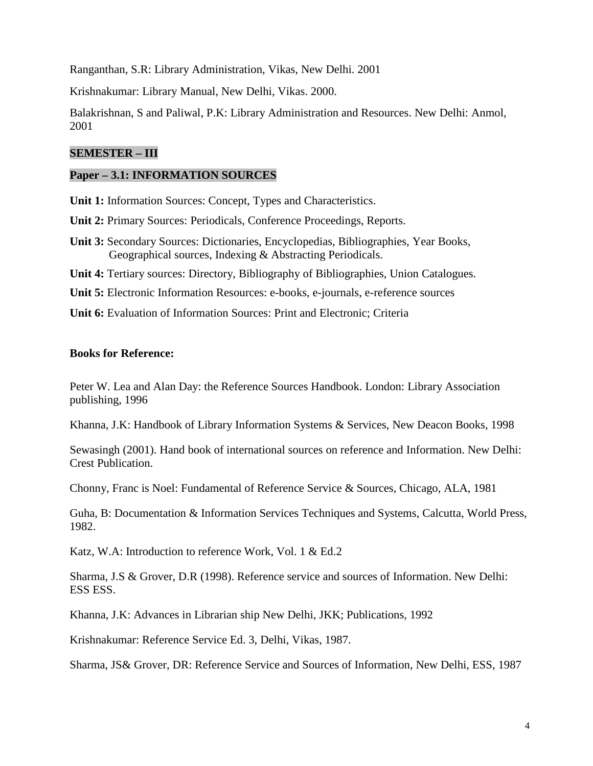Ranganthan, S.R: Library Administration, Vikas, New Delhi. 2001

Krishnakumar: Library Manual, New Delhi, Vikas. 2000.

Balakrishnan, S and Paliwal, P.K: Library Administration and Resources. New Delhi: Anmol, 2001

# **SEMESTER – III**

#### **Paper – 3.1: INFORMATION SOURCES**

**Unit 1:** Information Sources: Concept, Types and Characteristics.

**Unit 2:** Primary Sources: Periodicals, Conference Proceedings, Reports.

**Unit 3:** Secondary Sources: Dictionaries, Encyclopedias, Bibliographies, Year Books, Geographical sources, Indexing & Abstracting Periodicals.

**Unit 4:** Tertiary sources: Directory, Bibliography of Bibliographies, Union Catalogues.

**Unit 5:** Electronic Information Resources: e-books, e-journals, e-reference sources

**Unit 6:** Evaluation of Information Sources: Print and Electronic; Criteria

## **Books for Reference:**

Peter W. Lea and Alan Day: the Reference Sources Handbook. London: Library Association publishing, 1996

Khanna, J.K: Handbook of Library Information Systems & Services, New Deacon Books, 1998

Sewasingh (2001). Hand book of international sources on reference and Information. New Delhi: Crest Publication.

Chonny, Franc is Noel: Fundamental of Reference Service & Sources, Chicago, ALA, 1981

Guha, B: Documentation & Information Services Techniques and Systems, Calcutta, World Press, 1982.

Katz, W.A: Introduction to reference Work, Vol. 1 & Ed.2

Sharma, J.S & Grover, D.R (1998). Reference service and sources of Information. New Delhi: ESS ESS.

Khanna, J.K: Advances in Librarian ship New Delhi, JKK; Publications, 1992

Krishnakumar: Reference Service Ed. 3, Delhi, Vikas, 1987.

Sharma, JS& Grover, DR: Reference Service and Sources of Information, New Delhi, ESS, 1987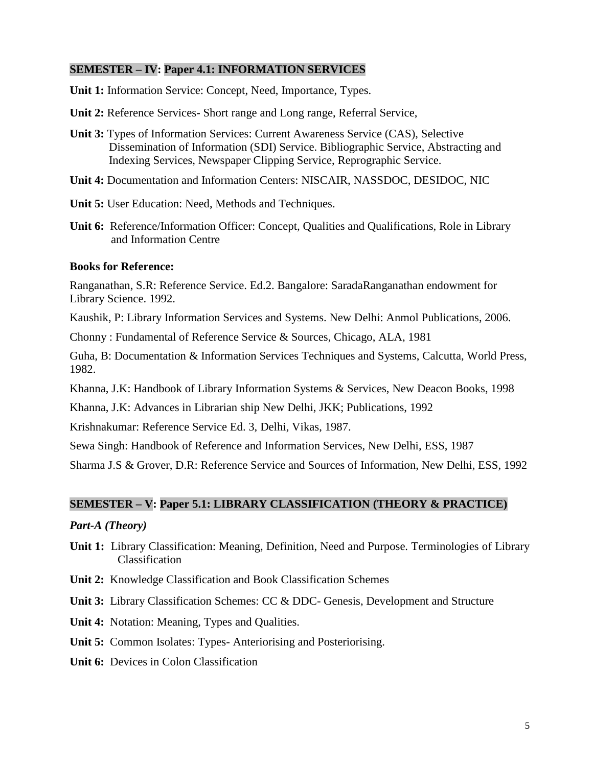## **SEMESTER – IV: Paper 4.1: INFORMATION SERVICES**

**Unit 1:** Information Service: Concept, Need, Importance, Types.

**Unit 2:** Reference Services- Short range and Long range, Referral Service,

- **Unit 3:** Types of Information Services: Current Awareness Service (CAS), Selective Dissemination of Information (SDI) Service. Bibliographic Service, Abstracting and Indexing Services, Newspaper Clipping Service, Reprographic Service.
- **Unit 4:** Documentation and Information Centers: NISCAIR, NASSDOC, DESIDOC, NIC
- **Unit 5:** User Education: Need, Methods and Techniques.
- **Unit 6:** Reference/Information Officer: Concept, Qualities and Qualifications, Role in Library and Information Centre

#### **Books for Reference:**

Ranganathan, S.R: Reference Service. Ed.2. Bangalore: SaradaRanganathan endowment for Library Science. 1992.

Kaushik, P: Library Information Services and Systems. New Delhi: Anmol Publications, 2006.

Chonny : Fundamental of Reference Service & Sources, Chicago, ALA, 1981

Guha, B: Documentation & Information Services Techniques and Systems, Calcutta, World Press, 1982.

Khanna, J.K: Handbook of Library Information Systems & Services, New Deacon Books, 1998

Khanna, J.K: Advances in Librarian ship New Delhi, JKK; Publications, 1992

Krishnakumar: Reference Service Ed. 3, Delhi, Vikas, 1987.

Sewa Singh: Handbook of Reference and Information Services, New Delhi, ESS, 1987

Sharma J.S & Grover, D.R: Reference Service and Sources of Information, New Delhi, ESS, 1992

# **SEMESTER – V: Paper 5.1: LIBRARY CLASSIFICATION (THEORY & PRACTICE)**

#### *Part-A (Theory)*

- **Unit 1:** Library Classification: Meaning, Definition, Need and Purpose. Terminologies of Library Classification
- **Unit 2:** Knowledge Classification and Book Classification Schemes

**Unit 3:** Library Classification Schemes: CC & DDC- Genesis, Development and Structure

**Unit 4:** Notation: Meaning, Types and Qualities.

**Unit 5:** Common Isolates: Types- Anteriorising and Posteriorising.

**Unit 6:** Devices in Colon Classification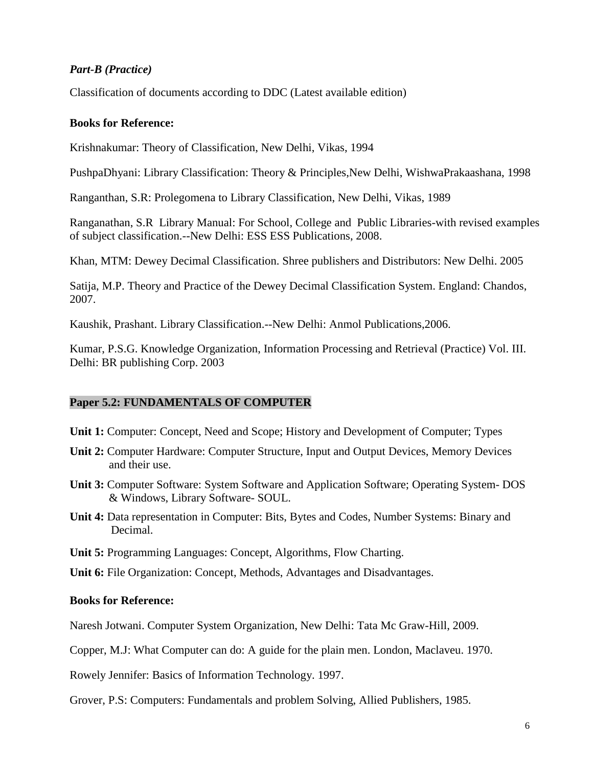# *Part-B (Practice)*

Classification of documents according to DDC (Latest available edition)

#### **Books for Reference:**

Krishnakumar: Theory of Classification, New Delhi, Vikas, 1994

PushpaDhyani: Library Classification: Theory & Principles,New Delhi, WishwaPrakaashana, 1998

Ranganthan, S.R: Prolegomena to Library Classification, New Delhi, Vikas, 1989

Ranganathan, S.R Library Manual: For School, College and Public Libraries-with revised examples of subject classification.--New Delhi: ESS ESS Publications, 2008.

Khan, MTM: Dewey Decimal Classification. Shree publishers and Distributors: New Delhi. 2005

Satija, M.P. Theory and Practice of the Dewey Decimal Classification System. England: Chandos, 2007.

Kaushik, Prashant. Library Classification.--New Delhi: Anmol Publications,2006.

Kumar, P.S.G. Knowledge Organization, Information Processing and Retrieval (Practice) Vol. III. Delhi: BR publishing Corp. 2003

#### **Paper 5.2: FUNDAMENTALS OF COMPUTER**

- **Unit 1:** Computer: Concept, Need and Scope; History and Development of Computer; Types
- **Unit 2:** Computer Hardware: Computer Structure, Input and Output Devices, Memory Devices and their use.
- **Unit 3:** Computer Software: System Software and Application Software; Operating System- DOS & Windows, Library Software- SOUL.
- **Unit 4:** Data representation in Computer: Bits, Bytes and Codes, Number Systems: Binary and Decimal.
- **Unit 5:** Programming Languages: Concept, Algorithms, Flow Charting.
- **Unit 6:** File Organization: Concept, Methods, Advantages and Disadvantages.

#### **Books for Reference:**

Naresh Jotwani. Computer System Organization, New Delhi: Tata Mc Graw-Hill, 2009.

Copper, M.J: What Computer can do: A guide for the plain men. London, Maclaveu. 1970.

Rowely Jennifer: Basics of Information Technology. 1997.

Grover, P.S: Computers: Fundamentals and problem Solving, Allied Publishers, 1985.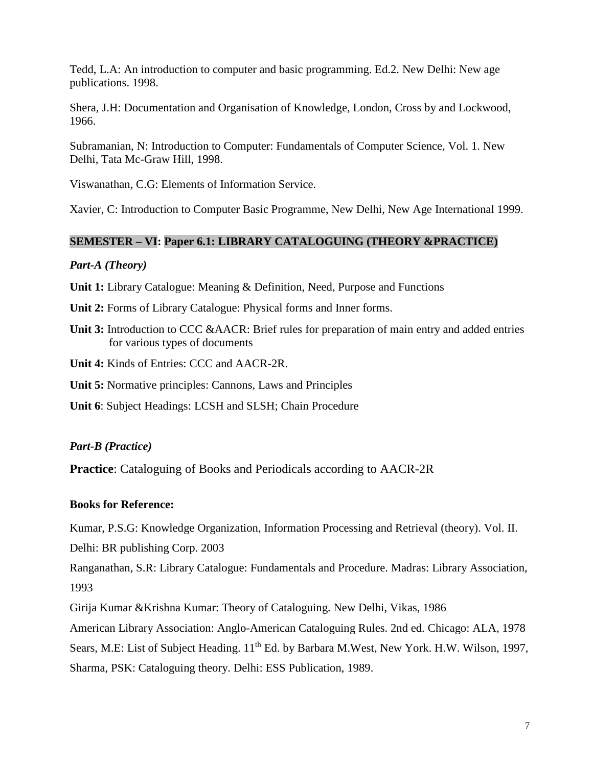Tedd, L.A: An introduction to computer and basic programming. Ed.2. New Delhi: New age publications. 1998.

Shera, J.H: Documentation and Organisation of Knowledge, London, Cross by and Lockwood, 1966.

Subramanian, N: Introduction to Computer: Fundamentals of Computer Science, Vol. 1. New Delhi, Tata Mc-Graw Hill, 1998.

Viswanathan, C.G: Elements of Information Service.

Xavier, C: Introduction to Computer Basic Programme, New Delhi, New Age International 1999.

## **SEMESTER – VI: Paper 6.1: LIBRARY CATALOGUING (THEORY &PRACTICE)**

#### *Part-A (Theory)*

**Unit 1:** Library Catalogue: Meaning & Definition, Need, Purpose and Functions

**Unit 2:** Forms of Library Catalogue: Physical forms and Inner forms.

**Unit 3:** Introduction to CCC &AACR: Brief rules for preparation of main entry and added entries for various types of documents

**Unit 4:** Kinds of Entries: CCC and AACR-2R.

**Unit 5:** Normative principles: Cannons, Laws and Principles

**Unit 6**: Subject Headings: LCSH and SLSH; Chain Procedure

## *Part-B (Practice)*

**Practice**: Cataloguing of Books and Periodicals according to AACR-2R

## **Books for Reference:**

Kumar, P.S.G: Knowledge Organization, Information Processing and Retrieval (theory). Vol. II.

Delhi: BR publishing Corp. 2003

Ranganathan, S.R: Library Catalogue: Fundamentals and Procedure. Madras: Library Association, 1993

Girija Kumar &Krishna Kumar: Theory of Cataloguing. New Delhi, Vikas, 1986

American Library Association: Anglo-American Cataloguing Rules. 2nd ed. Chicago: ALA, 1978 Sears, M.E: List of Subject Heading. 11<sup>th</sup> Ed. by Barbara M.West, New York. H.W. Wilson, 1997, Sharma, PSK: Cataloguing theory. Delhi: ESS Publication, 1989.